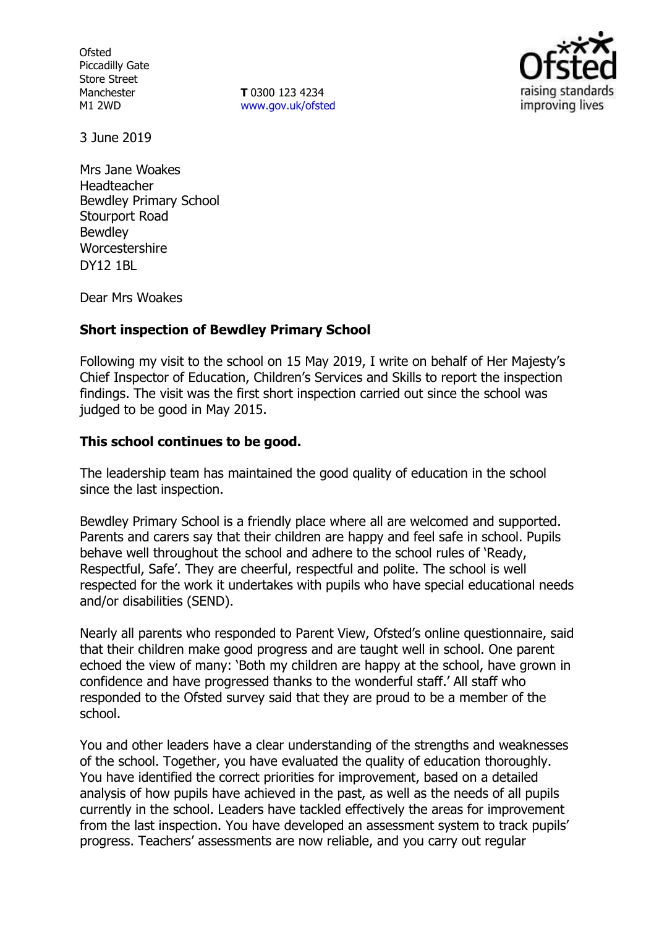**Ofsted** Piccadilly Gate Store Street Manchester M1 2WD

**T** 0300 123 4234 [www.gov.uk/ofsted](http://www.gov.uk/ofsted)



3 June 2019

Mrs Jane Woakes Headteacher Bewdley Primary School Stourport Road Bewdley Worcestershire DY12 1BL

Dear Mrs Woakes

## **Short inspection of Bewdley Primary School**

Following my visit to the school on 15 May 2019, I write on behalf of Her Majesty's Chief Inspector of Education, Children's Services and Skills to report the inspection findings. The visit was the first short inspection carried out since the school was judged to be good in May 2015.

# **This school continues to be good.**

The leadership team has maintained the good quality of education in the school since the last inspection.

Bewdley Primary School is a friendly place where all are welcomed and supported. Parents and carers say that their children are happy and feel safe in school. Pupils behave well throughout the school and adhere to the school rules of 'Ready, Respectful, Safe'. They are cheerful, respectful and polite. The school is well respected for the work it undertakes with pupils who have special educational needs and/or disabilities (SEND).

Nearly all parents who responded to Parent View, Ofsted's online questionnaire, said that their children make good progress and are taught well in school. One parent echoed the view of many: 'Both my children are happy at the school, have grown in confidence and have progressed thanks to the wonderful staff.' All staff who responded to the Ofsted survey said that they are proud to be a member of the school.

You and other leaders have a clear understanding of the strengths and weaknesses of the school. Together, you have evaluated the quality of education thoroughly. You have identified the correct priorities for improvement, based on a detailed analysis of how pupils have achieved in the past, as well as the needs of all pupils currently in the school. Leaders have tackled effectively the areas for improvement from the last inspection. You have developed an assessment system to track pupils' progress. Teachers' assessments are now reliable, and you carry out regular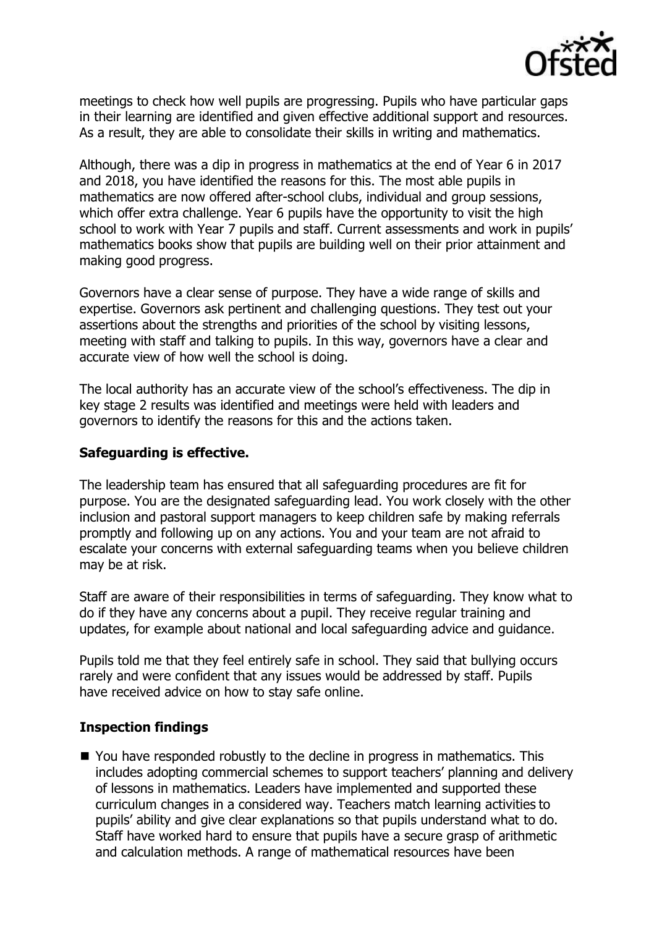

meetings to check how well pupils are progressing. Pupils who have particular gaps in their learning are identified and given effective additional support and resources. As a result, they are able to consolidate their skills in writing and mathematics.

Although, there was a dip in progress in mathematics at the end of Year 6 in 2017 and 2018, you have identified the reasons for this. The most able pupils in mathematics are now offered after-school clubs, individual and group sessions, which offer extra challenge. Year 6 pupils have the opportunity to visit the high school to work with Year 7 pupils and staff. Current assessments and work in pupils' mathematics books show that pupils are building well on their prior attainment and making good progress.

Governors have a clear sense of purpose. They have a wide range of skills and expertise. Governors ask pertinent and challenging questions. They test out your assertions about the strengths and priorities of the school by visiting lessons, meeting with staff and talking to pupils. In this way, governors have a clear and accurate view of how well the school is doing.

The local authority has an accurate view of the school's effectiveness. The dip in key stage 2 results was identified and meetings were held with leaders and governors to identify the reasons for this and the actions taken.

## **Safeguarding is effective.**

The leadership team has ensured that all safeguarding procedures are fit for purpose. You are the designated safeguarding lead. You work closely with the other inclusion and pastoral support managers to keep children safe by making referrals promptly and following up on any actions. You and your team are not afraid to escalate your concerns with external safeguarding teams when you believe children may be at risk.

Staff are aware of their responsibilities in terms of safeguarding. They know what to do if they have any concerns about a pupil. They receive regular training and updates, for example about national and local safeguarding advice and guidance.

Pupils told me that they feel entirely safe in school. They said that bullying occurs rarely and were confident that any issues would be addressed by staff. Pupils have received advice on how to stay safe online.

#### **Inspection findings**

■ You have responded robustly to the decline in progress in mathematics. This includes adopting commercial schemes to support teachers' planning and delivery of lessons in mathematics. Leaders have implemented and supported these curriculum changes in a considered way. Teachers match learning activities to pupils' ability and give clear explanations so that pupils understand what to do. Staff have worked hard to ensure that pupils have a secure grasp of arithmetic and calculation methods. A range of mathematical resources have been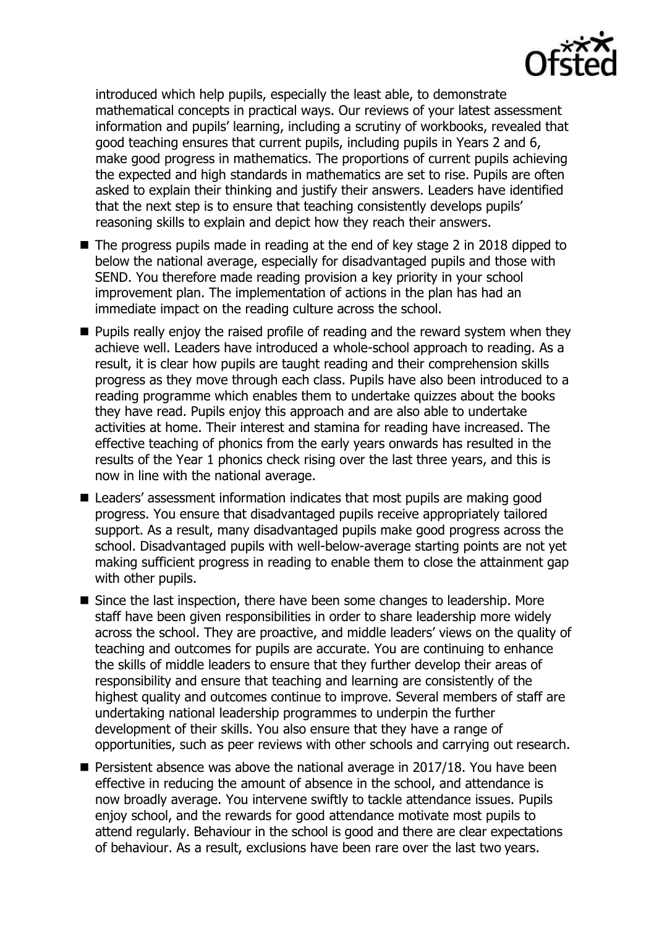

introduced which help pupils, especially the least able, to demonstrate mathematical concepts in practical ways. Our reviews of your latest assessment information and pupils' learning, including a scrutiny of workbooks, revealed that good teaching ensures that current pupils, including pupils in Years 2 and 6, make good progress in mathematics. The proportions of current pupils achieving the expected and high standards in mathematics are set to rise. Pupils are often asked to explain their thinking and justify their answers. Leaders have identified that the next step is to ensure that teaching consistently develops pupils' reasoning skills to explain and depict how they reach their answers.

- The progress pupils made in reading at the end of key stage 2 in 2018 dipped to below the national average, especially for disadvantaged pupils and those with SEND. You therefore made reading provision a key priority in your school improvement plan. The implementation of actions in the plan has had an immediate impact on the reading culture across the school.
- $\blacksquare$  Pupils really enjoy the raised profile of reading and the reward system when they achieve well. Leaders have introduced a whole-school approach to reading. As a result, it is clear how pupils are taught reading and their comprehension skills progress as they move through each class. Pupils have also been introduced to a reading programme which enables them to undertake quizzes about the books they have read. Pupils enjoy this approach and are also able to undertake activities at home. Their interest and stamina for reading have increased. The effective teaching of phonics from the early years onwards has resulted in the results of the Year 1 phonics check rising over the last three years, and this is now in line with the national average.
- Leaders' assessment information indicates that most pupils are making good progress. You ensure that disadvantaged pupils receive appropriately tailored support. As a result, many disadvantaged pupils make good progress across the school. Disadvantaged pupils with well-below-average starting points are not yet making sufficient progress in reading to enable them to close the attainment gap with other pupils.
- Since the last inspection, there have been some changes to leadership. More staff have been given responsibilities in order to share leadership more widely across the school. They are proactive, and middle leaders' views on the quality of teaching and outcomes for pupils are accurate. You are continuing to enhance the skills of middle leaders to ensure that they further develop their areas of responsibility and ensure that teaching and learning are consistently of the highest quality and outcomes continue to improve. Several members of staff are undertaking national leadership programmes to underpin the further development of their skills. You also ensure that they have a range of opportunities, such as peer reviews with other schools and carrying out research.
- $\blacksquare$  Persistent absence was above the national average in 2017/18. You have been effective in reducing the amount of absence in the school, and attendance is now broadly average. You intervene swiftly to tackle attendance issues. Pupils enjoy school, and the rewards for good attendance motivate most pupils to attend regularly. Behaviour in the school is good and there are clear expectations of behaviour. As a result, exclusions have been rare over the last two years.